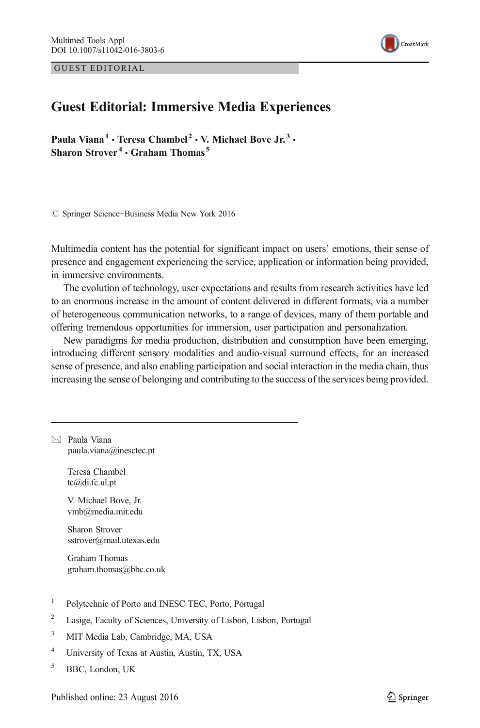GUEST EDITORIAL



## Guest Editorial: Immersive Media Experiences

Paula Viana<sup>1</sup> · Teresa Chambel<sup>2</sup> · V. Michael Bove Jr.<sup>3</sup> · Sharon Strover<sup>4</sup>  $\cdot$  Graham Thomas<sup>5</sup>

© Springer Science+Business Media New York 2016

Multimedia content has the potential for significant impact on users' emotions, their sense of presence and engagement experiencing the service, application or information being provided, in immersive environments.

The evolution of technology, user expectations and results from research activities have led to an enormous increase in the amount of content delivered in different formats, via a number of heterogeneous communication networks, to a range of devices, many of them portable and offering tremendous opportunities for immersion, user participation and personalization.

New paradigms for media production, distribution and consumption have been emerging, introducing different sensory modalities and audio-visual surround effects, for an increased sense of presence, and also enabling participation and social interaction in the media chain, thus increasing the sense of belonging and contributing to the success of the services being provided.

 $\boxtimes$  Paula Viana paula.viana@inesctec.pt

> Teresa Chambel tc@di.fc.ul.pt

V. Michael Bove, Jr. vmb@media.mit.edu

Sharon Strover sstrover@mail.utexas.edu

Graham Thomas graham.thomas@bbc.co.uk

- <sup>1</sup> Polytechnic of Porto and INESC TEC, Porto, Portugal
- <sup>2</sup> Lasige, Faculty of Sciences, University of Lisbon, Lisbon, Portugal
- <sup>3</sup> MIT Media Lab, Cambridge, MA, USA
- <sup>4</sup> University of Texas at Austin, Austin, TX, USA
- <sup>5</sup> BBC, London, UK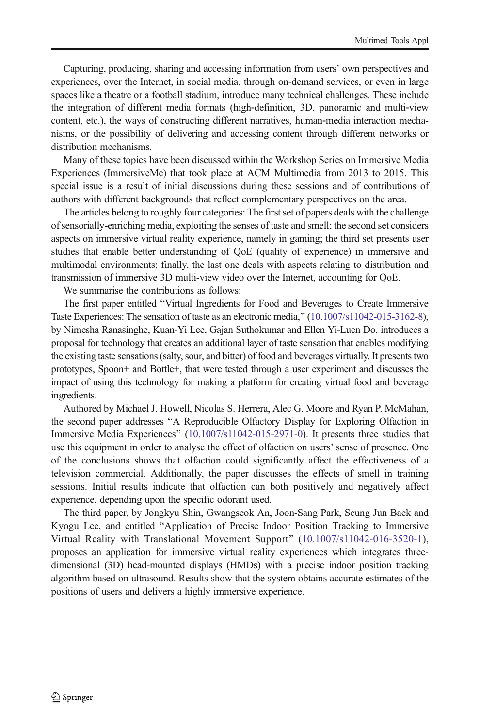Capturing, producing, sharing and accessing information from users' own perspectives and experiences, over the Internet, in social media, through on-demand services, or even in large spaces like a theatre or a football stadium, introduce many technical challenges. These include the integration of different media formats (high‐definition, 3D, panoramic and multi‐view content, etc.), the ways of constructing different narratives, human-media interaction mechanisms, or the possibility of delivering and accessing content through different networks or distribution mechanisms.

Many of these topics have been discussed within the Workshop Series on Immersive Media Experiences (ImmersiveMe) that took place at ACM Multimedia from 2013 to 2015. This special issue is a result of initial discussions during these sessions and of contributions of authors with different backgrounds that reflect complementary perspectives on the area.

The articles belong to roughly four categories: The first set of papers deals with the challenge of sensorially-enriching media, exploiting the senses of taste and smell; the second set considers aspects on immersive virtual reality experience, namely in gaming; the third set presents user studies that enable better understanding of QoE (quality of experience) in immersive and multimodal environments; finally, the last one deals with aspects relating to distribution and transmission of immersive 3D multi-view video over the Internet, accounting for QoE.

We summarise the contributions as follows:

The first paper entitled "Virtual Ingredients for Food and Beverages to Create Immersive Taste Experiences: The sensation of taste as an electronic media,"  $(10.1007 \times 11042 - 015 - 3162 - 8)$ , by Nimesha Ranasinghe, Kuan-Yi Lee, Gajan Suthokumar and Ellen Yi-Luen Do, introduces a proposal for technology that creates an additional layer of taste sensation that enables modifying the existing taste sensations (salty, sour, and bitter) of food and beverages virtually. It presents two prototypes, Spoon+ and Bottle+, that were tested through a user experiment and discusses the impact of using this technology for making a platform for creating virtual food and beverage ingredients.

Authored by Michael J. Howell, Nicolas S. Herrera, Alec G. Moore and Ryan P. McMahan, the second paper addresses "A Reproducible Olfactory Display for Exploring Olfaction in Immersive Media Experiences" [\(10.1007/s11042-015-2971-0](http://dx.doi.org/10.1007/s11042-015-2971-0)). It presents three studies that use this equipment in order to analyse the effect of olfaction on users' sense of presence. One of the conclusions shows that olfaction could significantly affect the effectiveness of a television commercial. Additionally, the paper discusses the effects of smell in training sessions. Initial results indicate that olfaction can both positively and negatively affect experience, depending upon the specific odorant used.

The third paper, by Jongkyu Shin, Gwangseok An, Joon-Sang Park, Seung Jun Baek and Kyogu Lee, and entitled "Application of Precise Indoor Position Tracking to Immersive Virtual Reality with Translational Movement Support^ ([10.1007/s11042-016-3520-1](http://dx.doi.org/10.1007/s11042-016-3520-1)), proposes an application for immersive virtual reality experiences which integrates threedimensional (3D) head-mounted displays (HMDs) with a precise indoor position tracking algorithm based on ultrasound. Results show that the system obtains accurate estimates of the positions of users and delivers a highly immersive experience.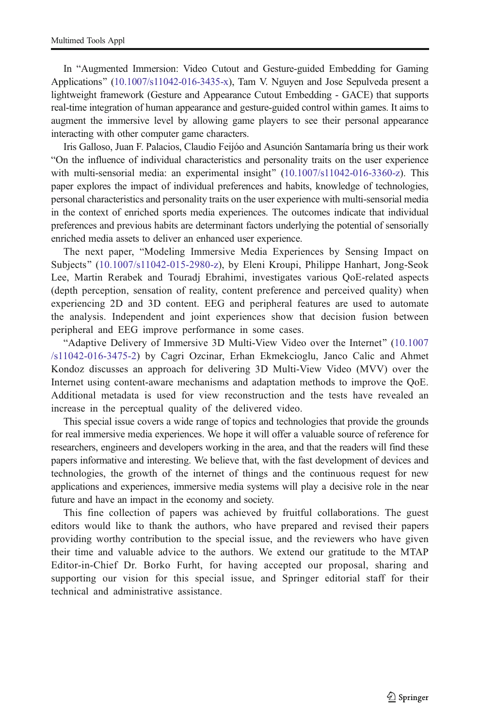In "Augmented Immersion: Video Cutout and Gesture-guided Embedding for Gaming Applications" ([10.1007/s11042-016-3435-x](http://dx.doi.org/10.1007/s11042-016-3435-x)), Tam V. Nguyen and Jose Sepulveda present a lightweight framework (Gesture and Appearance Cutout Embedding - GACE) that supports real-time integration of human appearance and gesture-guided control within games. It aims to augment the immersive level by allowing game players to see their personal appearance interacting with other computer game characters.

Iris Galloso, Juan F. Palacios, Claudio Feijóo and Asunción Santamaría bring us their work BOn the influence of individual characteristics and personality traits on the user experience with multi-sensorial media: an experimental insight" [\(10.1007/s11042-016-3360-z](http://dx.doi.org/10.1007/s11042-016-3360-z)). This paper explores the impact of individual preferences and habits, knowledge of technologies, personal characteristics and personality traits on the user experience with multi-sensorial media in the context of enriched sports media experiences. The outcomes indicate that individual preferences and previous habits are determinant factors underlying the potential of sensorially enriched media assets to deliver an enhanced user experience.

The next paper, "Modeling Immersive Media Experiences by Sensing Impact on Subjects" ([10.1007/s11042-015-2980-z](http://dx.doi.org/10.1007/s11042-015-2980-z)), by Eleni Kroupi, Philippe Hanhart, Jong-Seok Lee, Martin Rerabek and Touradj Ebrahimi, investigates various QoE-related aspects (depth perception, sensation of reality, content preference and perceived quality) when experiencing 2D and 3D content. EEG and peripheral features are used to automate the analysis. Independent and joint experiences show that decision fusion between peripheral and EEG improve performance in some cases.

BAdaptive Delivery of Immersive 3D Multi-View Video over the Internet^ [\(10.1007](http://dx.doi.org/10.1007/s11042-016-3475-2) [/s11042-016-3475-2](http://dx.doi.org/10.1007/s11042-016-3475-2)) by Cagri Ozcinar, Erhan Ekmekcioglu, Janco Calic and Ahmet Kondoz discusses an approach for delivering 3D Multi-View Video (MVV) over the Internet using content-aware mechanisms and adaptation methods to improve the QoE. Additional metadata is used for view reconstruction and the tests have revealed an increase in the perceptual quality of the delivered video.

This special issue covers a wide range of topics and technologies that provide the grounds for real immersive media experiences. We hope it will offer a valuable source of reference for researchers, engineers and developers working in the area, and that the readers will find these papers informative and interesting. We believe that, with the fast development of devices and technologies, the growth of the internet of things and the continuous request for new applications and experiences, immersive media systems will play a decisive role in the near future and have an impact in the economy and society.

This fine collection of papers was achieved by fruitful collaborations. The guest editors would like to thank the authors, who have prepared and revised their papers providing worthy contribution to the special issue, and the reviewers who have given their time and valuable advice to the authors. We extend our gratitude to the MTAP Editor-in-Chief Dr. Borko Furht, for having accepted our proposal, sharing and supporting our vision for this special issue, and Springer editorial staff for their technical and administrative assistance.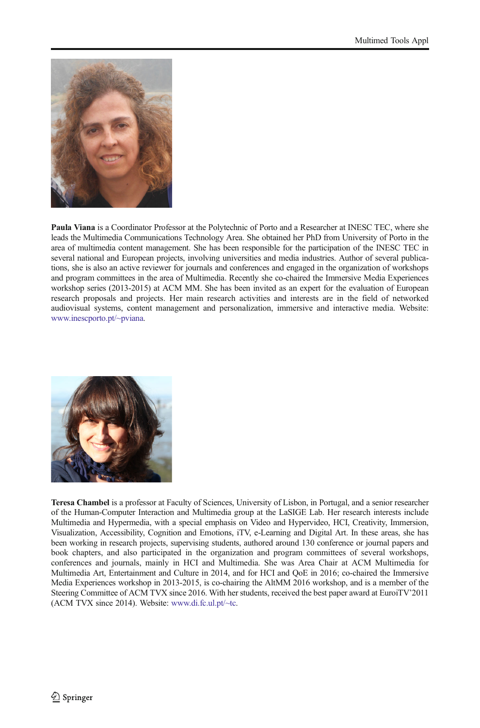

Paula Viana is a Coordinator Professor at the Polytechnic of Porto and a Researcher at INESC TEC, where she leads the Multimedia Communications Technology Area. She obtained her PhD from University of Porto in the area of multimedia content management. She has been responsible for the participation of the INESC TEC in several national and European projects, involving universities and media industries. Author of several publications, she is also an active reviewer for journals and conferences and engaged in the organization of workshops and program committees in the area of Multimedia. Recently she co-chaired the Immersive Media Experiences workshop series (2013-2015) at ACM MM. She has been invited as an expert for the evaluation of European research proposals and projects. Her main research activities and interests are in the field of networked audiovisual systems, content management and personalization, immersive and interactive media. Website: [www.inescporto.pt/~pviana](http://www.inescporto.pt/%7Epviana).



Teresa Chambel is a professor at Faculty of Sciences, University of Lisbon, in Portugal, and a senior researcher of the Human-Computer Interaction and Multimedia group at the LaSIGE Lab. Her research interests include Multimedia and Hypermedia, with a special emphasis on Video and Hypervideo, HCI, Creativity, Immersion, Visualization, Accessibility, Cognition and Emotions, iTV, e-Learning and Digital Art. In these areas, she has been working in research projects, supervising students, authored around 130 conference or journal papers and book chapters, and also participated in the organization and program committees of several workshops, conferences and journals, mainly in HCI and Multimedia. She was Area Chair at ACM Multimedia for Multimedia Art, Entertainment and Culture in 2014, and for HCI and QoE in 2016; co-chaired the Immersive Media Experiences workshop in 2013-2015, is co-chairing the AltMM 2016 workshop, and is a member of the Steering Committee of ACM TVX since 2016. With her students, received the best paper award at EuroiTV'2011 (ACM TVX since 2014). Website: [www.di.fc.ul.pt/~tc](http://www.di.fc.ul.pt/%7Etc).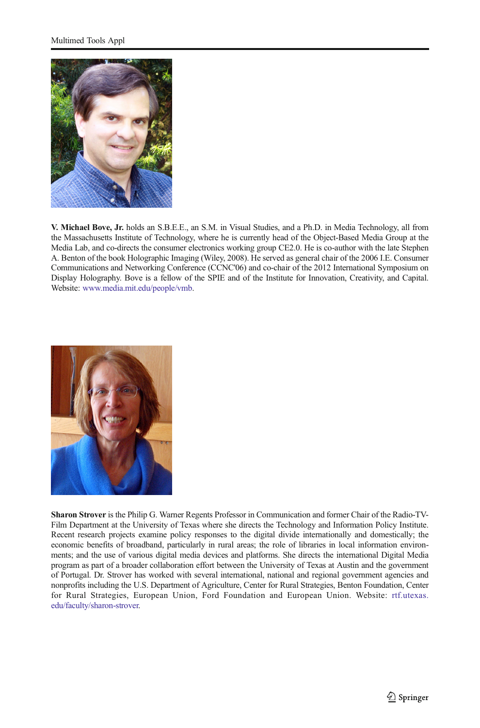

V. Michael Bove, Jr. holds an S.B.E.E., an S.M. in Visual Studies, and a Ph.D. in Media Technology, all from the Massachusetts Institute of Technology, where he is currently head of the Object-Based Media Group at the Media Lab, and co-directs the consumer electronics working group CE2.0. He is co-author with the late Stephen A. Benton of the book Holographic Imaging (Wiley, 2008). He served as general chair of the 2006 I.E. Consumer Communications and Networking Conference (CCNC'06) and co-chair of the 2012 International Symposium on Display Holography. Bove is a fellow of the SPIE and of the Institute for Innovation, Creativity, and Capital. Website: [www.media.mit.edu/people/vmb.](http://www.media.mit.edu/people/vmb)



Sharon Strover is the Philip G. Warner Regents Professor in Communication and former Chair of the Radio-TV-Film Department at the University of Texas where she directs the Technology and Information Policy Institute. Recent research projects examine policy responses to the digital divide internationally and domestically; the economic benefits of broadband, particularly in rural areas; the role of libraries in local information environments; and the use of various digital media devices and platforms. She directs the international Digital Media program as part of a broader collaboration effort between the University of Texas at Austin and the government of Portugal. Dr. Strover has worked with several international, national and regional government agencies and nonprofits including the U.S. Department of Agriculture, Center for Rural Strategies, Benton Foundation, Center for Rural Strategies, European Union, Ford Foundation and European Union. Website: [rtf.utexas.](http://www.rtf.utexas.edu/faculty/sharon-trover) [edu/faculty/sharon-strover.](http://www.rtf.utexas.edu/faculty/sharon-trover)